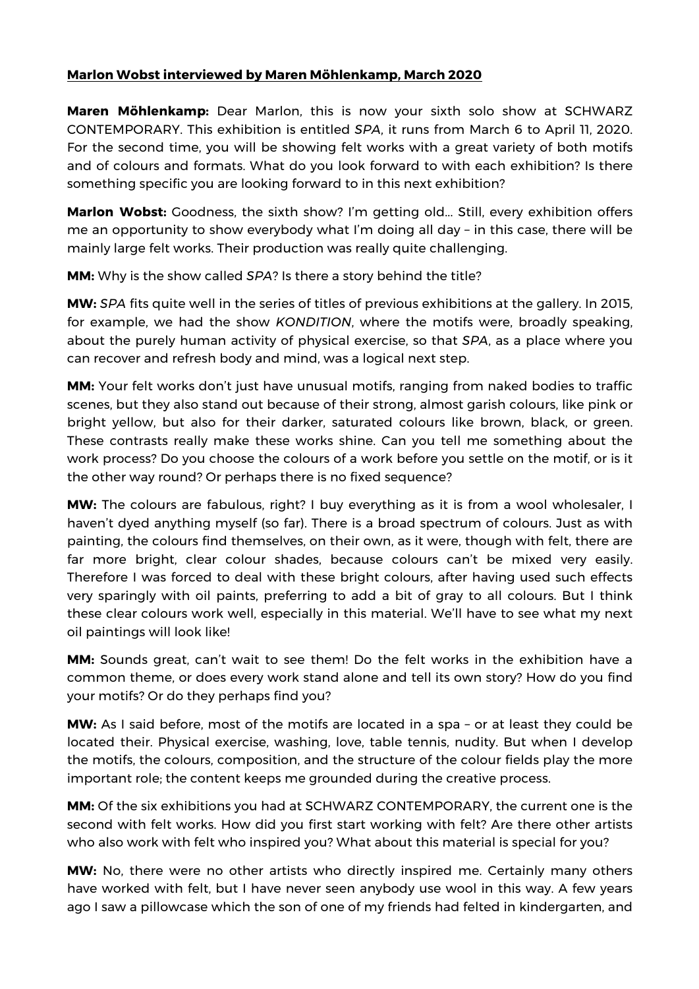## **Marlon Wobst interviewed by Maren Möhlenkamp, March 2020**

**Maren Möhlenkamp:** Dear Marlon, this is now your sixth solo show at SCHWARZ CONTEMPORARY. This exhibition is entitled *SPA*, it runs from March 6 to April 11, 2020. For the second time, you will be showing felt works with a great variety of both motifs and of colours and formats. What do you look forward to with each exhibition? Is there something specific you are looking forward to in this next exhibition?

**Marlon Wobst:** Goodness, the sixth show? I'm getting old... Still, every exhibition offers me an opportunity to show everybody what I'm doing all day – in this case, there will be mainly large felt works. Their production was really quite challenging.

**MM:** Why is the show called *SPA*? Is there a story behind the title?

**MW:** *SPA* fits quite well in the series of titles of previous exhibitions at the gallery. In 2015, for example, we had the show *KONDITION*, where the motifs were, broadly speaking, about the purely human activity of physical exercise, so that *SPA*, as a place where you can recover and refresh body and mind, was a logical next step.

**MM:** Your felt works don't just have unusual motifs, ranging from naked bodies to traffic scenes, but they also stand out because of their strong, almost garish colours, like pink or bright yellow, but also for their darker, saturated colours like brown, black, or green. These contrasts really make these works shine. Can you tell me something about the work process? Do you choose the colours of a work before you settle on the motif, or is it the other way round? Or perhaps there is no fixed sequence?

**MW:** The colours are fabulous, right? I buy everything as it is from a wool wholesaler, I haven't dyed anything myself (so far). There is a broad spectrum of colours. Just as with painting, the colours find themselves, on their own, as it were, though with felt, there are far more bright, clear colour shades, because colours can't be mixed very easily. Therefore I was forced to deal with these bright colours, after having used such effects very sparingly with oil paints, preferring to add a bit of gray to all colours. But I think these clear colours work well, especially in this material. We'll have to see what my next oil paintings will look like!

**MM:** Sounds great, can't wait to see them! Do the felt works in the exhibition have a common theme, or does every work stand alone and tell its own story? How do you find your motifs? Or do they perhaps find you?

**MW:** As I said before, most of the motifs are located in a spa – or at least they could be located their. Physical exercise, washing, love, table tennis, nudity. But when I develop the motifs, the colours, composition, and the structure of the colour fields play the more important role; the content keeps me grounded during the creative process.

**MM:** Of the six exhibitions you had at SCHWARZ CONTEMPORARY, the current one is the second with felt works. How did you first start working with felt? Are there other artists who also work with felt who inspired you? What about this material is special for you?

**MW:** No, there were no other artists who directly inspired me. Certainly many others have worked with felt, but I have never seen anybody use wool in this way. A few years ago I saw a pillowcase which the son of one of my friends had felted in kindergarten, and